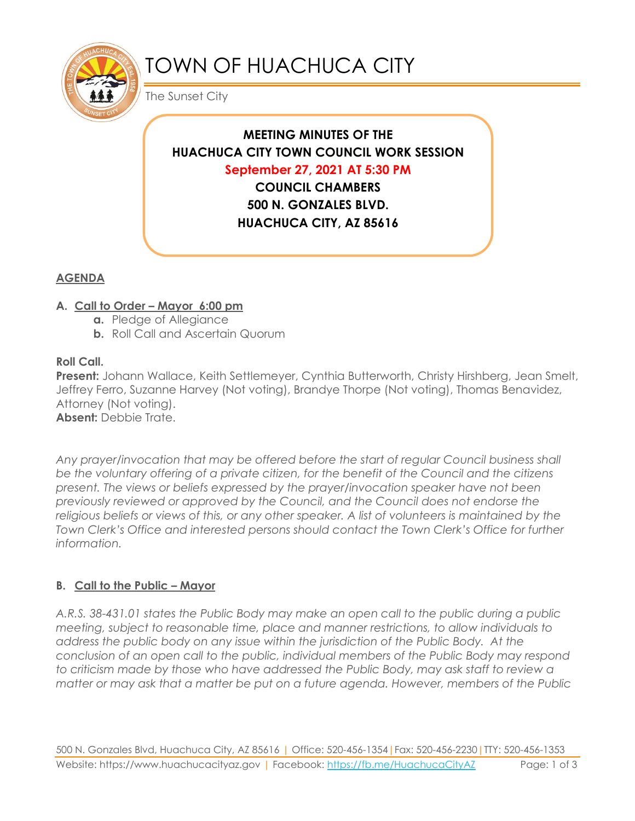

# TOWN OF HUACHUCA CITY

The Sunset City

# **MEETING MINUTES OF THE HUACHUCA CITY TOWN COUNCIL WORK SESSION September 27, 2021 AT 5:30 PM COUNCIL CHAMBERS 500 N. GONZALES BLVD. HUACHUCA CITY, AZ 85616**

## **AGENDA**

#### **A. Call to Order – Mayor 6:00 pm**

- **a.** Pledge of Allegiance
- **b.** Roll Call and Ascertain Quorum

#### **Roll Call.**

**Present:** Johann Wallace, Keith Settlemeyer, Cynthia Butterworth, Christy Hirshberg, Jean Smelt, Jeffrey Ferro, Suzanne Harvey (Not voting), Brandye Thorpe (Not voting), Thomas Benavidez, Attorney (Not voting).

**Absent:** Debbie Trate.

*Any prayer/invocation that may be offered before the start of regular Council business shall be the voluntary offering of a private citizen, for the benefit of the Council and the citizens present. The views or beliefs expressed by the prayer/invocation speaker have not been previously reviewed or approved by the Council, and the Council does not endorse the religious beliefs or views of this, or any other speaker. A list of volunteers is maintained by the Town Clerk's Office and interested persons should contact the Town Clerk's Office for further information.*

### **B. Call to the Public – Mayor**

*A.R.S. 38-431.01 states the Public Body may make an open call to the public during a public meeting, subject to reasonable time, place and manner restrictions, to allow individuals to address the public body on any issue within the jurisdiction of the Public Body. At the conclusion of an open call to the public, individual members of the Public Body may respond to criticism made by those who have addressed the Public Body, may ask staff to review a matter or may ask that a matter be put on a future agenda. However, members of the Public*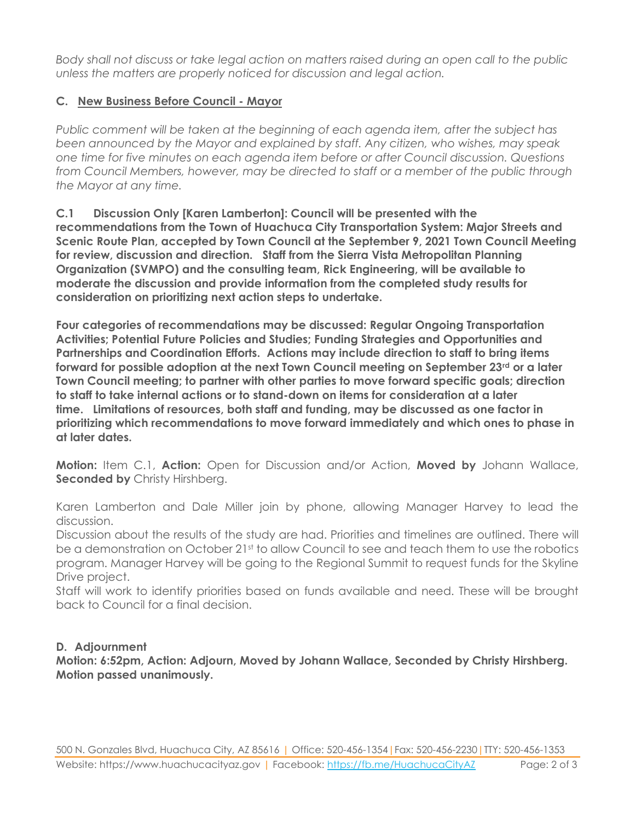*Body shall not discuss or take legal action on matters raised during an open call to the public unless the matters are properly noticed for discussion and legal action.*

#### **C. New Business Before Council - Mayor**

*Public comment will be taken at the beginning of each agenda item, after the subject has been announced by the Mayor and explained by staff. Any citizen, who wishes, may speak one time for five minutes on each agenda item before or after Council discussion. Questions from Council Members, however, may be directed to staff or a member of the public through the Mayor at any time.* 

**C.1 Discussion Only [Karen Lamberton]: Council will be presented with the recommendations from the Town of Huachuca City Transportation System: Major Streets and Scenic Route Plan, accepted by Town Council at the September 9, 2021 Town Council Meeting for review, discussion and direction. Staff from the Sierra Vista Metropolitan Planning Organization (SVMPO) and the consulting team, Rick Engineering, will be available to moderate the discussion and provide information from the completed study results for consideration on prioritizing next action steps to undertake.**

**Four categories of recommendations may be discussed: Regular Ongoing Transportation Activities; Potential Future Policies and Studies; Funding Strategies and Opportunities and Partnerships and Coordination Efforts. Actions may include direction to staff to bring items forward for possible adoption at the next Town Council meeting on September 23rd or a later Town Council meeting; to partner with other parties to move forward specific goals; direction to staff to take internal actions or to stand-down on items for consideration at a later time. Limitations of resources, both staff and funding, may be discussed as one factor in prioritizing which recommendations to move forward immediately and which ones to phase in at later dates.**

**Motion:** Item C.1, **Action:** Open for Discussion and/or Action, **Moved by** Johann Wallace, **Seconded by** Christy Hirshberg.

Karen Lamberton and Dale Miller join by phone, allowing Manager Harvey to lead the discussion.

Discussion about the results of the study are had. Priorities and timelines are outlined. There will be a demonstration on October 21st to allow Council to see and teach them to use the robotics program. Manager Harvey will be going to the Regional Summit to request funds for the Skyline Drive project.

Staff will work to identify priorities based on funds available and need. These will be brought back to Council for a final decision.

#### **D. Adjournment**

**Motion: 6:52pm, Action: Adjourn, Moved by Johann Wallace, Seconded by Christy Hirshberg. Motion passed unanimously.**